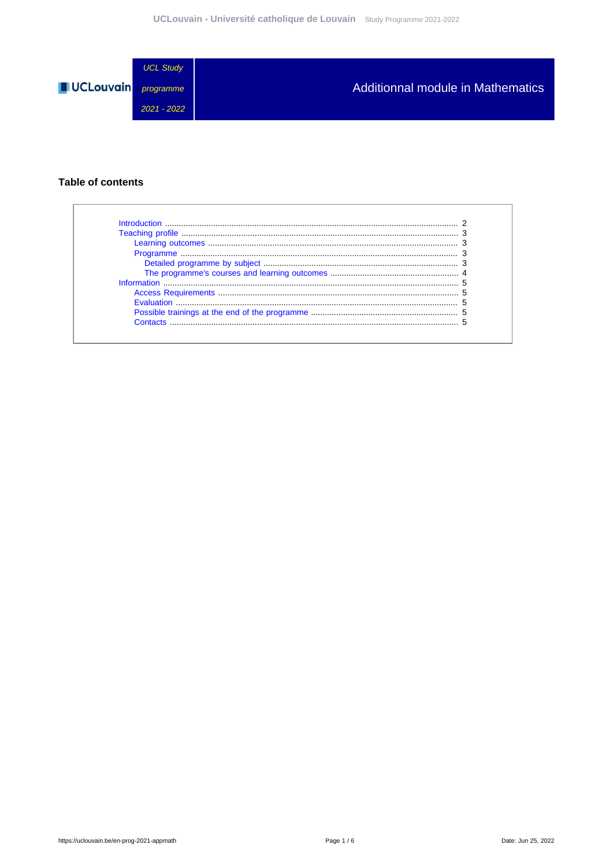

#### **Table of contents**

| Introduction              |  |
|---------------------------|--|
|                           |  |
|                           |  |
|                           |  |
|                           |  |
|                           |  |
|                           |  |
|                           |  |
| <b>Evaluation Example</b> |  |
|                           |  |
| Contacts                  |  |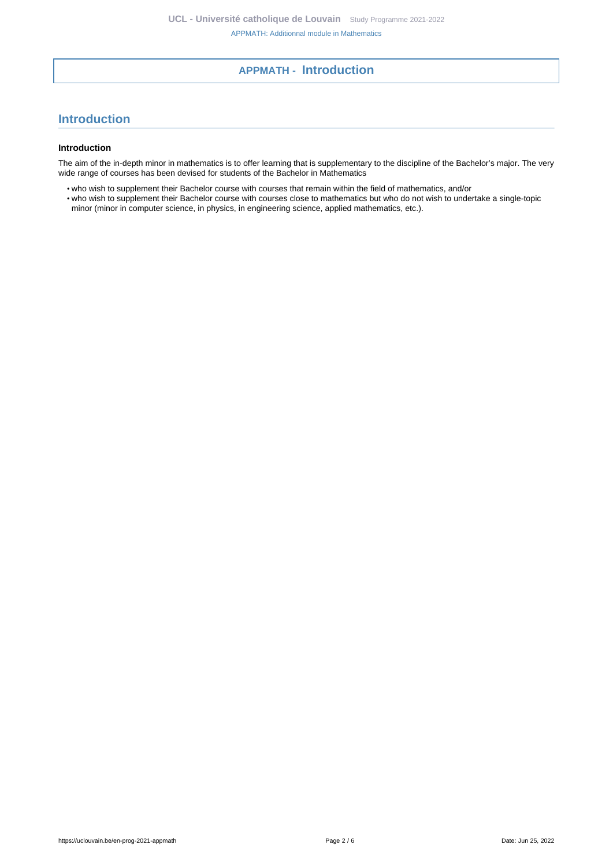### **APPMATH - Introduction**

# <span id="page-1-0"></span>**Introduction**

#### **Introduction**

The aim of the in-depth minor in mathematics is to offer learning that is supplementary to the discipline of the Bachelor's major. The very wide range of courses has been devised for students of the Bachelor in Mathematics

• who wish to supplement their Bachelor course with courses that remain within the field of mathematics, and/or

• who wish to supplement their Bachelor course with courses close to mathematics but who do not wish to undertake a single-topic minor (minor in computer science, in physics, in engineering science, applied mathematics, etc.).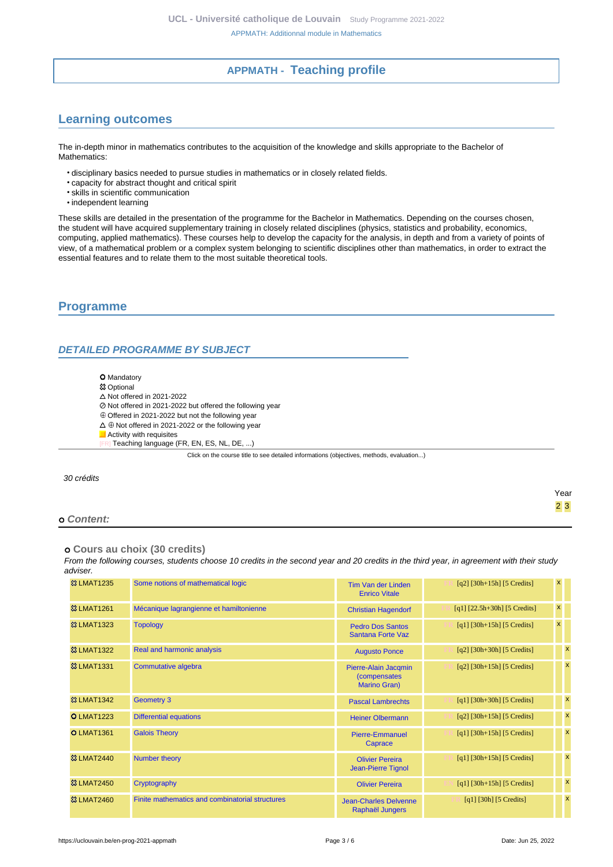## **APPMATH - Teaching profile**

# <span id="page-2-1"></span><span id="page-2-0"></span>**Learning outcomes**

The in-depth minor in mathematics contributes to the acquisition of the knowledge and skills appropriate to the Bachelor of Mathematics:

- disciplinary basics needed to pursue studies in mathematics or in closely related fields.
- capacity for abstract thought and critical spirit
- skills in scientific communication
- independent learning

These skills are detailed in the presentation of the programme for the Bachelor in Mathematics. Depending on the courses chosen, the student will have acquired supplementary training in closely related disciplines (physics, statistics and probability, economics, computing, applied mathematics). These courses help to develop the capacity for the analysis, in depth and from a variety of points of view, of a mathematical problem or a complex system belonging to scientific disciplines other than mathematics, in order to extract the essential features and to relate them to the most suitable theoretical tools.

#### <span id="page-2-2"></span>**Programme**

#### <span id="page-2-3"></span>**DETAILED PROGRAMME BY SUBJECT**

- **O** Mandatory
- **83 Optional**
- $\Delta$  Not offered in 2021-2022
- Not offered in 2021-2022 but offered the following year
- Offered in 2021-2022 but not the following year
- $\Delta \oplus$  Not offered in 2021-2022 or the following year
- **Activity with requisites** 
	- Teaching language (FR, EN, ES, NL, DE, ...)

Click on the course title to see detailed informations (objectives, methods, evaluation...)

30 crédits

#### **Content:**

 **Cours au choix (30 credits)**

From the following courses, students choose 10 credits in the second year and 20 credits in the third year, in agreement with their study adviser.

| <b>&amp;3 LMAT1235</b> | Some notions of mathematical logic              | Tim Van der Linden<br><b>Enrico Vitale</b>           | $[q2]$ [30h+15h] [5 Credits]       | $\mathbf{x}$   |                           |
|------------------------|-------------------------------------------------|------------------------------------------------------|------------------------------------|----------------|---------------------------|
| <b>&amp;3 LMAT1261</b> | Mécanique lagrangienne et hamiltonienne         | <b>Christian Hagendorf</b>                           | $[q1]$ $[22.5h+30h]$ $[5$ Credits] | $\pmb{\times}$ |                           |
| <b>&amp;3 LMAT1323</b> | <b>Topology</b>                                 | <b>Pedro Dos Santos</b><br>Santana Forte Vaz         | $[q1]$ [30h+15h] [5 Credits]       | $\mathbf{x}$   |                           |
| <b>&amp;3 LMAT1322</b> | Real and harmonic analysis                      | <b>Augusto Ponce</b>                                 | $[q2]$ [30h+30h] [5 Credits]       |                | $\boldsymbol{\mathsf{x}}$ |
| <b>&amp;3 LMAT1331</b> | Commutative algebra                             | Pierre-Alain Jacqmin<br>(compensates<br>Marino Gran) | $[q2]$ [30h+15h] [5 Credits]       |                | $\boldsymbol{\mathsf{x}}$ |
| <b>&amp;3 LMAT1342</b> | <b>Geometry 3</b>                               | <b>Pascal Lambrechts</b>                             | $[q1] [30h+30h] [5 Credits]$       |                | $\boldsymbol{\mathsf{x}}$ |
| <b>O LMAT1223</b>      | <b>Differential equations</b>                   | <b>Heiner Olbermann</b>                              | $[q2]$ [30h+15h] [5 Credits]       |                | $\boldsymbol{\mathsf{x}}$ |
| <b>O LMAT1361</b>      | <b>Galois Theory</b>                            | <b>Pierre-Emmanuel</b><br>Caprace                    | $[q1]$ [30h+15h] [5 Credits]       |                | $\mathsf{x}$              |
| <b>&amp;3 LMAT2440</b> | Number theory                                   | <b>Olivier Pereira</b><br>Jean-Pierre Tignol         | $[q1]$ [30h+15h] [5 Credits]       |                | $\boldsymbol{\mathsf{x}}$ |
| <b>&amp;3 LMAT2450</b> | Cryptography                                    | <b>Olivier Pereira</b>                               | $[q1] [30h+15h] [5 Credits]$       |                | $\boldsymbol{\mathsf{x}}$ |
| <b>&amp;3 LMAT2460</b> | Finite mathematics and combinatorial structures | <b>Jean-Charles Delvenne</b><br>Raphaël Jungers      | [q1] [30h] [5 Credits]             |                | $\boldsymbol{\mathsf{x}}$ |

Year 2 3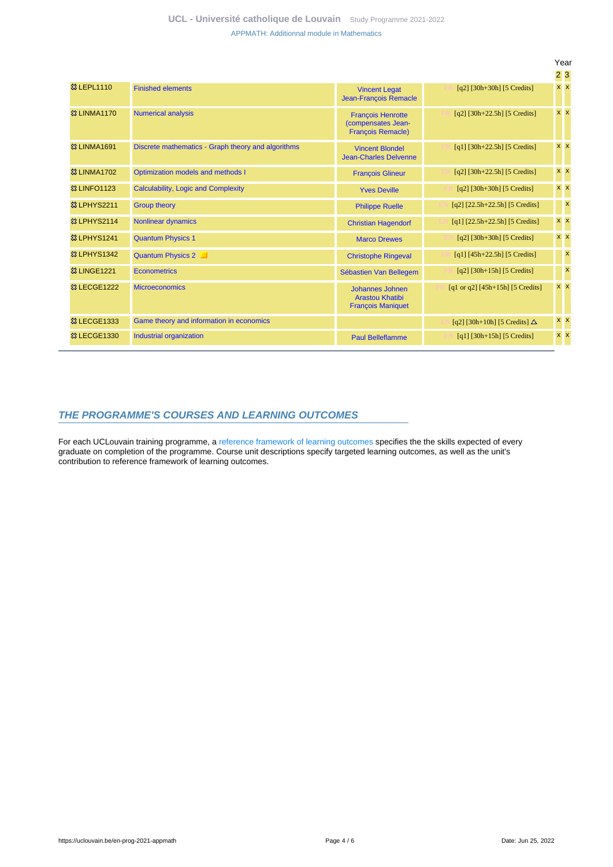|                         |                                                    |                                                                            |                                      | Year       |                           |
|-------------------------|----------------------------------------------------|----------------------------------------------------------------------------|--------------------------------------|------------|---------------------------|
|                         |                                                    |                                                                            |                                      | 23         |                           |
| <b>83 LEPL1110</b>      | <b>Finished elements</b>                           | <b>Vincent Legat</b><br>Jean-François Remacle                              | $[q2]$ [30h+30h] [5 Credits]         | $x \times$ |                           |
| <b>&amp;3 LINMA1170</b> | <b>Numerical analysis</b>                          | <b>François Henrotte</b><br>(compensates Jean-<br><b>Francois Remacle)</b> | $[q2]$ [30h+22.5h] [5 Credits]       | $x \mid x$ |                           |
| <b>&amp;3 LINMA1691</b> | Discrete mathematics - Graph theory and algorithms | <b>Vincent Blondel</b><br><b>Jean-Charles Delvenne</b>                     | $[q1]$ [30h+22.5h] [5 Credits]       | $x \times$ |                           |
| <b>&amp;3 LINMA1702</b> | Optimization models and methods I                  | <b>François Glineur</b>                                                    | $[q2]$ [30h+22.5h] [5 Credits]       | $x \mid x$ |                           |
| <b>&amp;3 LINFO1123</b> | Calculability, Logic and Complexity                | <b>Yves Deville</b>                                                        | $[q2]$ [30h+30h] [5 Credits]         | $x \times$ |                           |
| <b>83 LPHYS2211</b>     | <b>Group theory</b>                                | <b>Philippe Ruelle</b>                                                     | $[q2]$ $[22.5h+22.5h]$ $[5$ Credits] |            | $\mathbf{x}$              |
| <sup>3</sup> LPHYS2114  | <b>Nonlinear dynamics</b>                          | <b>Christian Hagendorf</b>                                                 | $[q1]$ $[22.5h+22.5h]$ $[5$ Credits] | $x \mid x$ |                           |
| <b>&amp; LPHYS1241</b>  | <b>Quantum Physics 1</b>                           | <b>Marco Drewes</b>                                                        | $[q2]$ [30h+30h] [5 Credits]         | $x \mid x$ |                           |
| <b>&amp; LPHYS1342</b>  | Quantum Physics 2                                  | <b>Christophe Ringeval</b>                                                 | $[q1] [45h+22.5h] [5 Credits]$       |            | $\boldsymbol{\mathsf{x}}$ |
| <b>&amp; LINGE1221</b>  | <b>Econometrics</b>                                | Sébastien Van Bellegem                                                     | $[q2]$ [30h+15h] [5 Credits]         |            | $\boldsymbol{\mathsf{x}}$ |
| <b>&amp;3 LECGE1222</b> | <b>Microeconomics</b>                              | Johannes Johnen<br><b>Arastou Khatibi</b><br><b>François Maniquet</b>      | [q1 or q2] $[45h+15h]$ [5 Credits]   | $x \times$ |                           |
| <b>&amp; LECGE1333</b>  | Game theory and information in economics           |                                                                            | [q2] [30h+10h] [5 Credits] $\Delta$  | $x \mid x$ |                           |
| <b>&amp; LECGE1330</b>  | Industrial organization                            | <b>Paul Belleflamme</b>                                                    | $[q1]$ [30h+15h] [5 Credits]         | $x \mid x$ |                           |

#### <span id="page-3-0"></span>**THE PROGRAMME'S COURSES AND LEARNING OUTCOMES**

For each UCLouvain training programme, a [reference framework of learning outcomes](https://uclouvain.be/en-prog-2021-appmath-competences_et_acquis.html) specifies the the skills expected of every graduate on completion of the programme. Course unit descriptions specify targeted learning outcomes, as well as the unit's contribution to reference framework of learning outcomes.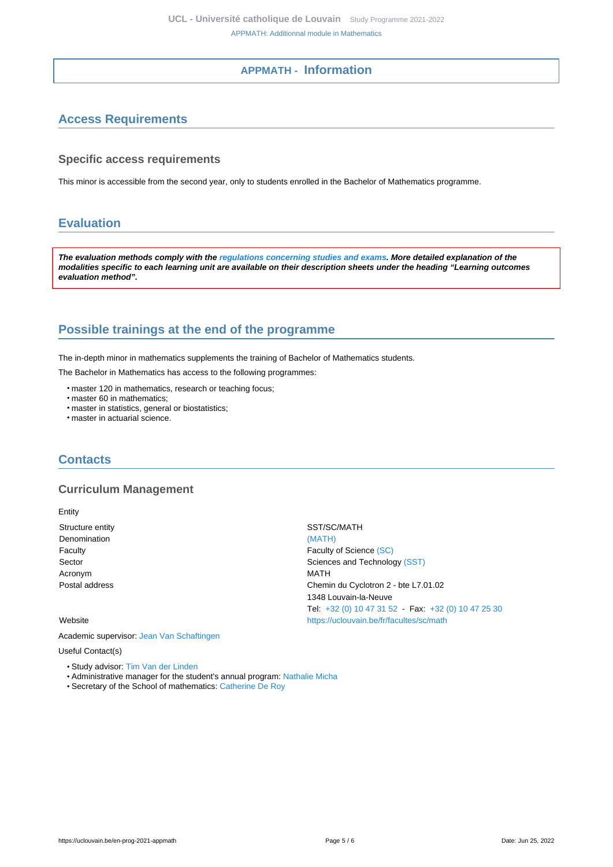#### **APPMATH - Information**

# <span id="page-4-1"></span><span id="page-4-0"></span>**Access Requirements**

#### **Specific access requirements**

This minor is accessible from the second year, only to students enrolled in the Bachelor of Mathematics programme.

# <span id="page-4-2"></span>**Evaluation**

**The evaluation methods comply with the [regulations concerning studies and exams](https://uclouvain.be/fr/decouvrir/rgee.html). More detailed explanation of the modalities specific to each learning unit are available on their description sheets under the heading "Learning outcomes evaluation method".**

# <span id="page-4-3"></span>**Possible trainings at the end of the programme**

The in-depth minor in mathematics supplements the training of Bachelor of Mathematics students.

The Bachelor in Mathematics has access to the following programmes:

- master 120 in mathematics, research or teaching focus;
- master 60 in mathematics;
- master in statistics, general or biostatistics;
- master in actuarial science.

#### <span id="page-4-4"></span>**Contacts**

#### **Curriculum Management**

Entity

Denomination [\(MATH\)](https://uclouvain.be/repertoires/entites/math) Acronym MATH

Academic supervisor: [Jean Van Schaftingen](https://uclouvain.be/repertoires/jean.vanschaftingen)

Useful Contact(s)

- Study advisor: [Tim Van der Linden](https://uclouvain.be/repertoires/tim.vanderlinden)
- Administrative manager for the student's annual program: [Nathalie Micha](https://uclouvain.be/repertoires/nathalie.micha)
- Secretary of the School of mathematics: [Catherine De Roy](https://uclouvain.be/repertoires/catherine.deroy)

Structure entity SST/SC/MATH Faculty **Faculty Faculty Faculty Faculty Faculty Faculty Faculty Faculty Faculty Faculty Faculty Faculty Faculty Faculty Faculty Faculty Faculty Faculty Faculty Faculty Faculty Fac** Sector Sector Sector Sciences and Technology [\(SST\)](https://uclouvain.be/repertoires/entites/sst) Postal address Chemin du Cyclotron 2 - bte L7.01.02 1348 Louvain-la-Neuve Tel: [+32 \(0\) 10 47 31 52](https://uclouvain.be/tel:+3210473152) - Fax: [+32 \(0\) 10 47 25 30](https://uclouvain.be/tel:+3210472530) Website **<https://uclouvain.be/fr/facultes/sc/math>**